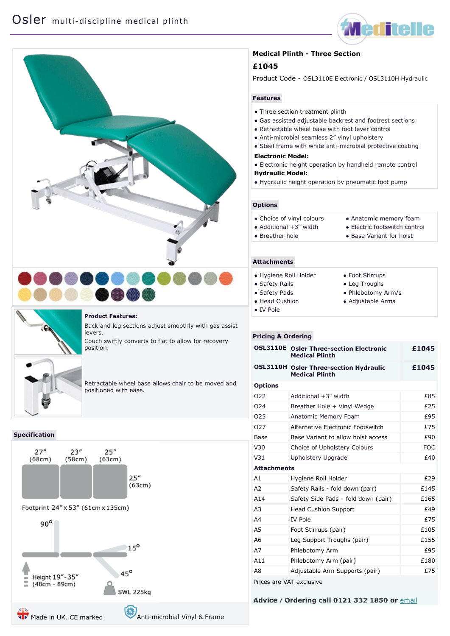







#### **Product Features:**

Back and leg sections adjust smoothly with gas assist levers.

Couch swiftly converts to flat to allow for recovery position.

Retractable wheel base allows chair to be moved and positioned with ease.

## **Specification**



## **Medical Plinth - Three Section**

# **£1045**

Product Code - OSL3110E Electronic / OSL3110H Hydraulic

## **Features**

- Three section treatment plinth
- Gas assisted adjustable backrest and footrest sections
- Retractable wheel base with foot lever control
- Anti-microbial seamless 2" vinyl upholstery
- Steel frame with white anti-microbial protective coating
- **Electronic Model:**
- Electronic height operation by handheld remote control **Hydraulic Model:**
- Hydraulic height operation by pneumatic foot pump

## **Options**

- Choice of [vinyl colours](http://www.meditelle.co.uk/Vinyl%20Guide.htm)  $\bullet$  Additional  $+3$ " width ● Breather hole ● Anatomic memory foam ● Electric footswitch control
	- Base Variant for hoist

## **Attachments**

| • Hygiene Roll Holder | • Foot Stirrups    |
|-----------------------|--------------------|
| • Safety Rails        | • Leg Troughs      |
| • Safety Pads         | • Phlebotomy Arm/s |
| • Head Cushion        | • Adjustable Arms  |
| $\bullet$ IV Pole     |                    |

#### **Pricing & Ordering**

| <b>OSL3110E</b>          | <b>Osler Three-section Electronic</b><br><b>Medical Plinth</b>         | £1045      |
|--------------------------|------------------------------------------------------------------------|------------|
|                          | <b>OSL3110H Osler Three-section Hydraulic</b><br><b>Medical Plinth</b> | £1045      |
| <b>Options</b>           |                                                                        |            |
| 022                      | Additional +3" width                                                   | £85        |
| O <sub>24</sub>          | Breather Hole + Vinyl Wedge                                            | £25        |
| 025                      | <b>Anatomic Memory Foam</b>                                            | £95        |
| 027                      | Alternative Electronic Footswitch                                      | £75        |
| Base                     | Base Variant to allow hoist access                                     | £90        |
| V30                      | Choice of Upholstery Colours                                           | <b>FOC</b> |
| V <sub>31</sub>          | Upholstery Upgrade                                                     | £40        |
| <b>Attachments</b>       |                                                                        |            |
| A1                       | Hygiene Roll Holder                                                    | £29        |
| A <sub>2</sub>           | Safety Rails - fold down (pair)                                        | £145       |
| A14                      | Safety Side Pads - fold down (pair)                                    | £165       |
| A <sub>3</sub>           | <b>Head Cushion Support</b>                                            | £49        |
| A4                       | <b>IV Pole</b>                                                         | £75        |
| A <sub>5</sub>           | Foot Stirrups (pair)                                                   | £105       |
| A6                       | Leg Support Troughs (pair)                                             | £155       |
| A7                       | Phlebotomy Arm                                                         | £95        |
| A <sub>11</sub>          | Phlebotomy Arm (pair)                                                  | £180       |
| A8                       | Adjustable Arm Supports (pair)                                         | £75        |
| Prices are VAT exclusive |                                                                        |            |

**Advice / Ordering call 0121 332 1850 or** [email](mailto:sales@meditelleltd.co.uk?subject=Meditelle%20Order%20Enquiry)